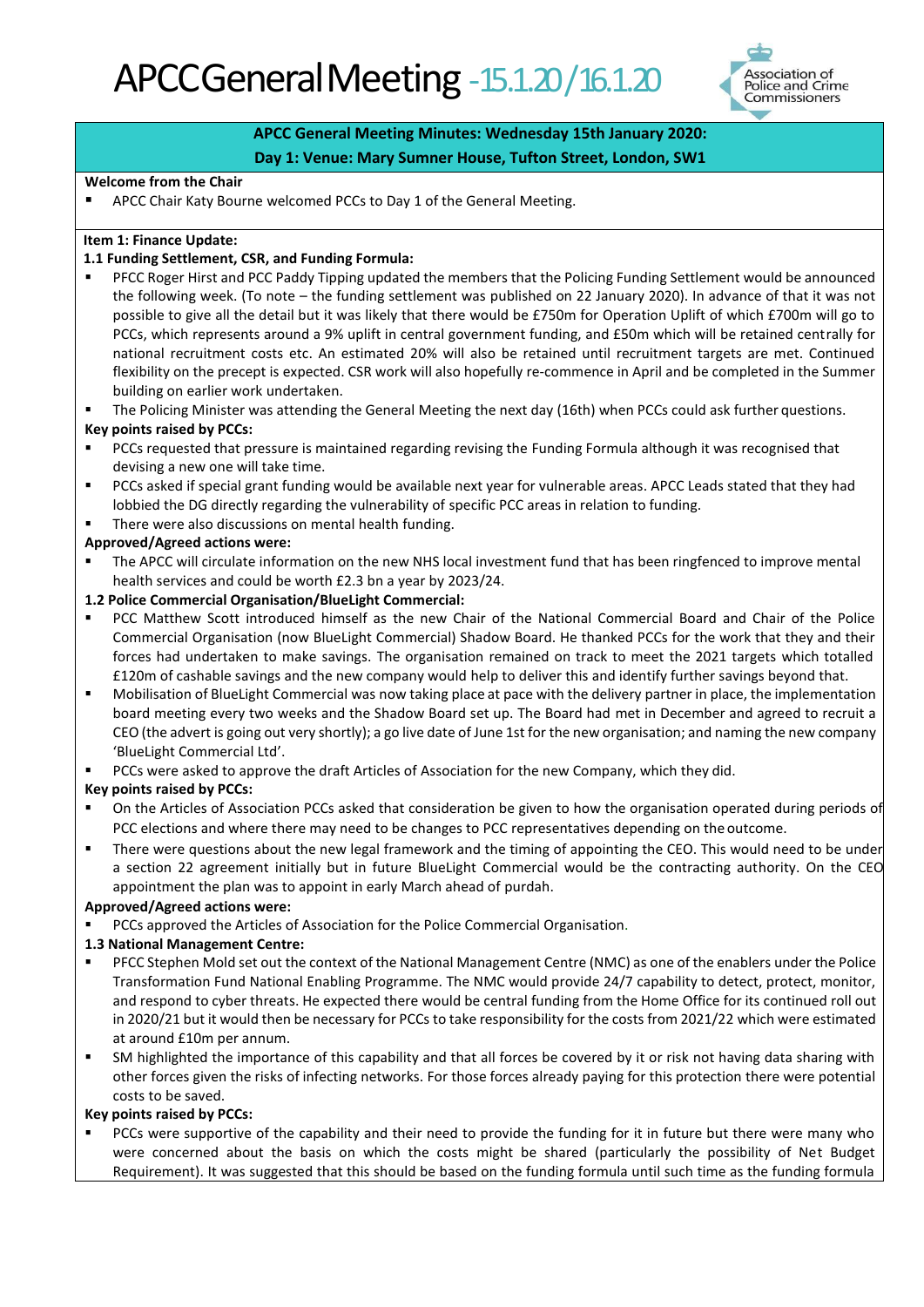

# **APCC General Meeting Minutes: Wednesday 15th January 2020:**

## **Day 1: Venue: Mary Sumner House, Tufton Street, London, SW1**

#### **Welcome from the Chair**

■ APCC Chair Katy Bourne welcomed PCCs to Day 1 of the General Meeting.

#### **Item 1: Finance Update:**

#### **1.1 Funding Settlement, CSR, and Funding Formula:**

- PFCC Roger Hirst and PCC Paddy Tipping updated the members that the Policing Funding Settlement would be announced the following week. (To note – the funding settlement was published on 22 January 2020). In advance of that it was not possible to give all the detail but it was likely that there would be £750m for Operation Uplift of which £700m will go to PCCs, which represents around a 9% uplift in central government funding, and £50m which will be retained centrally for national recruitment costs etc. An estimated 20% will also be retained until recruitment targets are met. Continued flexibility on the precept is expected. CSR work will also hopefully re-commence in April and be completed in the Summer building on earlier work undertaken.
- The Policing Minister was attending the General Meeting the next day (16th) when PCCs could ask further questions.

#### **Key points raised by PCCs:**

- PCCs requested that pressure is maintained regarding revising the Funding Formula although it was recognised that devising a new one will take time.
- PCCs asked if special grant funding would be available next year for vulnerable areas. APCC Leads stated that they had lobbied the DG directly regarding the vulnerability of specific PCC areas in relation to funding.
- There were also discussions on mental health funding.

#### **Approved/Agreed actions were:**

The APCC will circulate information on the new NHS local investment fund that has been ringfenced to improve mental health services and could be worth £2.3 bn a year by 2023/24.

#### **1.2 Police Commercial Organisation/BlueLight Commercial:**

- PCC Matthew Scott introduced himself as the new Chair of the National Commercial Board and Chair of the Police Commercial Organisation (now BlueLight Commercial) Shadow Board. He thanked PCCs for the work that they and their forces had undertaken to make savings. The organisation remained on track to meet the 2021 targets which totalled £120m of cashable savings and the new company would help to deliver this and identify further savings beyond that.
- Mobilisation of BlueLight Commercial was now taking place at pace with the delivery partner in place, the implementation board meeting every two weeks and the Shadow Board set up. The Board had met in December and agreed to recruit a CEO (the advert is going out very shortly); a go live date of June 1st for the new organisation; and naming the new company 'BlueLight Commercial Ltd'.
- PCCs were asked to approve the draft Articles of Association for the new Company, which they did.

#### **Key points raised by PCCs:**

- On the Articles of Association PCCs asked that consideration be given to how the organisation operated during periods of PCC elections and where there may need to be changes to PCC representatives depending on the outcome.
- There were questions about the new legal framework and the timing of appointing the CEO. This would need to be under a section 22 agreement initially but in future BlueLight Commercial would be the contracting authority. On the CEO appointment the plan was to appoint in early March ahead of purdah.

#### **Approved/Agreed actions were:**

PCCs approved the Articles of Association for the Police Commercial Organisation.

#### **1.3 National Management Centre:**

- PFCC Stephen Mold set out the context of the National Management Centre (NMC) as one of the enablers under the Police Transformation Fund National Enabling Programme. The NMC would provide 24/7 capability to detect, protect, monitor, and respond to cyber threats. He expected there would be central funding from the Home Office for its continued roll out in 2020/21 but it would then be necessary for PCCs to take responsibility for the costs from 2021/22 which were estimated at around £10m per annum.
- SM highlighted the importance of this capability and that all forces be covered by it or risk not having data sharing with other forces given the risks of infecting networks. For those forces already paying for this protection there were potential costs to be saved.

#### **Key points raised by PCCs:**

PCCs were supportive of the capability and their need to provide the funding for it in future but there were many who were concerned about the basis on which the costs might be shared (particularly the possibility of Net Budget Requirement). It was suggested that this should be based on the funding formula until such time as the funding formula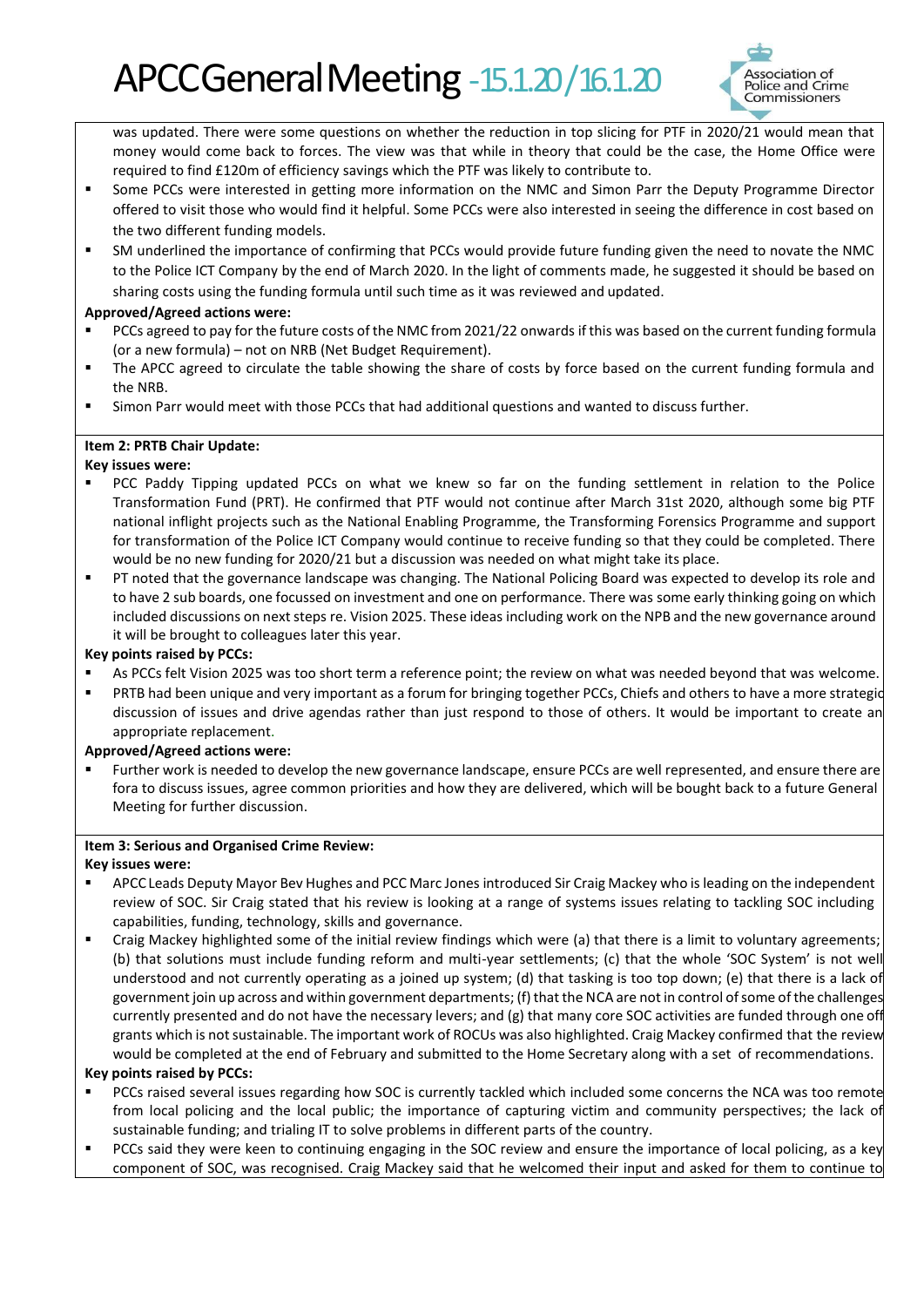# APCC General Meeting - 15.1.20/16.1.20



was updated. There were some questions on whether the reduction in top slicing for PTF in 2020/21 would mean that money would come back to forces. The view was that while in theory that could be the case, the Home Office were required to find £120m of efficiency savings which the PTF was likely to contribute to.

- **•** Some PCCs were interested in getting more information on the NMC and Simon Parr the Deputy Programme Director offered to visit those who would find it helpful. Some PCCs were also interested in seeing the difference in cost based on the two different funding models.
- SM underlined the importance of confirming that PCCs would provide future funding given the need to novate the NMC to the Police ICT Company by the end of March 2020. In the light of comments made, he suggested it should be based on sharing costs using the funding formula until such time as it was reviewed and updated.

#### **Approved/Agreed actions were:**

- PCCs agreed to pay for the future costs of the NMC from 2021/22 onwards if this was based on the current funding formula (or a new formula) – not on NRB (Net Budget Requirement).
- The APCC agreed to circulate the table showing the share of costs by force based on the current funding formula and the NRB.
- Simon Parr would meet with those PCCs that had additional questions and wanted to discuss further.

#### **Item 2: PRTB Chair Update:**

#### **Key issues were:**

- PCC Paddy Tipping updated PCCs on what we knew so far on the funding settlement in relation to the Police Transformation Fund (PRT). He confirmed that PTF would not continue after March 31st 2020, although some big PTF national inflight projects such as the National Enabling Programme, the Transforming Forensics Programme and support for transformation of the Police ICT Company would continue to receive funding so that they could be completed. There would be no new funding for 2020/21 but a discussion was needed on what might take its place.
- PT noted that the governance landscape was changing. The National Policing Board was expected to develop its role and to have 2 sub boards, one focussed on investment and one on performance. There was some early thinking going on which included discussions on next steps re. Vision 2025. These ideas including work on the NPB and the new governance around it will be brought to colleagues later this year.

#### **Key points raised by PCCs:**

- As PCCs felt Vision 2025 was too short term a reference point; the review on what was needed beyond that was welcome.
- PRTB had been unique and very important as a forum for bringing together PCCs, Chiefs and others to have a more strategic discussion of issues and drive agendas rather than just respond to those of others. It would be important to create an appropriate replacement.

#### **Approved/Agreed actions were:**

Further work is needed to develop the new governance landscape, ensure PCCs are well represented, and ensure there are fora to discuss issues, agree common priorities and how they are delivered, which will be bought back to a future General Meeting for further discussion.

#### **Item 3: Serious and Organised Crime Review:**

#### **Key issues were:**

- APCC Leads Deputy Mayor Bev Hughes and PCC Marc Jones introduced Sir Craig Mackey who is leading on the independent review of SOC. Sir Craig stated that his review is looking at a range of systems issues relating to tackling SOC including capabilities, funding, technology, skills and governance.
- Craig Mackey highlighted some of the initial review findings which were (a) that there is a limit to voluntary agreements; (b) that solutions must include funding reform and multi-year settlements; (c) that the whole 'SOC System' is not well understood and not currently operating as a joined up system; (d) that tasking is too top down; (e) that there is a lack of government join up across and within government departments; (f) that the NCA are not in control of some of the challenges currently presented and do not have the necessary levers; and (g) that many core SOC activities are funded through one off grants which is not sustainable. The important work of ROCUs was also highlighted. Craig Mackey confirmed that the review would be completed at the end of February and submitted to the Home Secretary along with a set of recommendations.

#### **Key points raised by PCCs:**

- PCCs raised several issues regarding how SOC is currently tackled which included some concerns the NCA was too remote from local policing and the local public; the importance of capturing victim and community perspectives; the lack of sustainable funding; and trialing IT to solve problems in different parts of the country.
- **•** PCCs said they were keen to continuing engaging in the SOC review and ensure the importance of local policing, as a key component of SOC, was recognised. Craig Mackey said that he welcomed their input and asked for them to continue to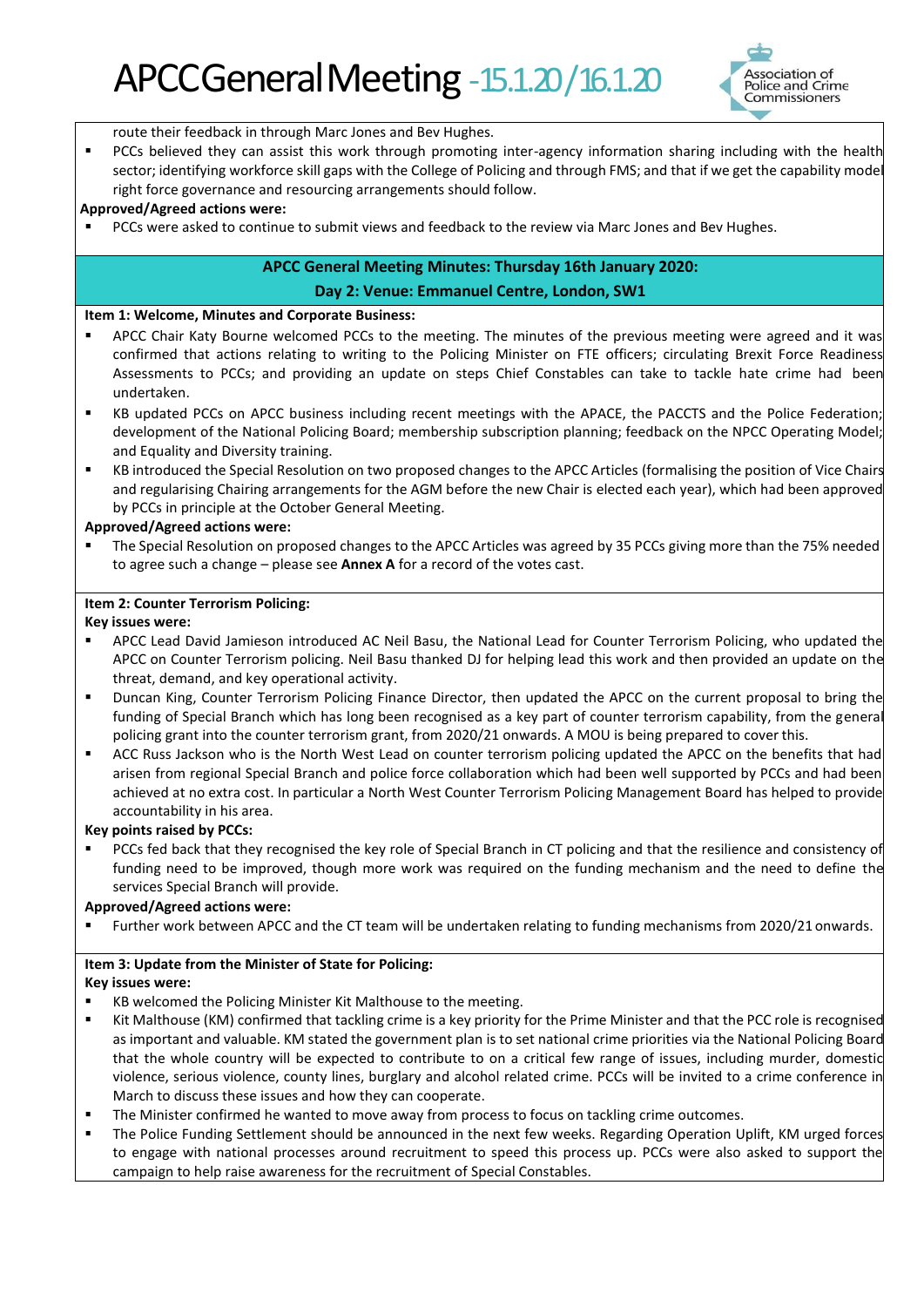

route their feedback in through Marc Jones and Bev Hughes.

**•** PCCs believed they can assist this work through promoting inter-agency information sharing including with the health sector; identifying workforce skill gaps with the College of Policing and through FMS; and that if we get the capability model right force governance and resourcing arrangements should follow.

#### **Approved/Agreed actions were:**

PCCs were asked to continue to submit views and feedback to the review via Marc Jones and Bev Hughes.

# **APCC General Meeting Minutes: Thursday 16th January 2020:**

#### **Day 2: Venue: Emmanuel Centre, London, SW1**

#### **Item 1: Welcome, Minutes and Corporate Business:**

- APCC Chair Katy Bourne welcomed PCCs to the meeting. The minutes of the previous meeting were agreed and it was confirmed that actions relating to writing to the Policing Minister on FTE officers; circulating Brexit Force Readiness Assessments to PCCs; and providing an update on steps Chief Constables can take to tackle hate crime had been undertaken.
- KB updated PCCs on APCC business including recent meetings with the APACE, the PACCTS and the Police Federation; development of the National Policing Board; membership subscription planning; feedback on the NPCC Operating Model; and Equality and Diversity training.
- KB introduced the Special Resolution on two proposed changes to the APCC Articles (formalising the position of Vice Chairs and regularising Chairing arrangements for the AGM before the new Chair is elected each year), which had been approved by PCCs in principle at the October General Meeting.

#### **Approved/Agreed actions were:**

The Special Resolution on proposed changes to the APCC Articles was agreed by 35 PCCs giving more than the 75% needed to agree such a change – please see **Annex A** for a record of the votes cast.

## **Item 2: Counter Terrorism Policing:**

#### **Key issues were:**

- APCC Lead David Jamieson introduced AC Neil Basu, the National Lead for Counter Terrorism Policing, who updated the APCC on Counter Terrorism policing. Neil Basu thanked DJ for helping lead this work and then provided an update on the threat, demand, and key operational activity.
- Duncan King, Counter Terrorism Policing Finance Director, then updated the APCC on the current proposal to bring the funding of Special Branch which has long been recognised as a key part of counter terrorism capability, from the general policing grant into the counter terrorism grant, from 2020/21 onwards. A MOU is being prepared to cover this.
- ACC Russ Jackson who is the North West Lead on counter terrorism policing updated the APCC on the benefits that had arisen from regional Special Branch and police force collaboration which had been well supported by PCCs and had been achieved at no extra cost. In particular a North West Counter Terrorism Policing Management Board has helped to provide accountability in his area.

#### **Key points raised by PCCs:**

PCCs fed back that they recognised the key role of Special Branch in CT policing and that the resilience and consistency of funding need to be improved, though more work was required on the funding mechanism and the need to define the services Special Branch will provide.

#### **Approved/Agreed actions were:**

Further work between APCC and the CT team will be undertaken relating to funding mechanisms from 2020/21 onwards.

#### **Item 3: Update from the Minister of State for Policing:**

#### **Key issues were:**

- KB welcomed the Policing Minister Kit Malthouse to the meeting.
- Kit Malthouse (KM) confirmed that tackling crime is a key priority for the Prime Minister and that the PCC role is recognised as important and valuable. KM stated the government plan is to set national crime priorities via the National Policing Board that the whole country will be expected to contribute to on a critical few range of issues, including murder, domestic violence, serious violence, county lines, burglary and alcohol related crime. PCCs will be invited to a crime conference in March to discuss these issues and how they can cooperate.
- The Minister confirmed he wanted to move away from process to focus on tackling crime outcomes.
- The Police Funding Settlement should be announced in the next few weeks. Regarding Operation Uplift, KM urged forces to engage with national processes around recruitment to speed this process up. PCCs were also asked to support the campaign to help raise awareness for the recruitment of Special Constables.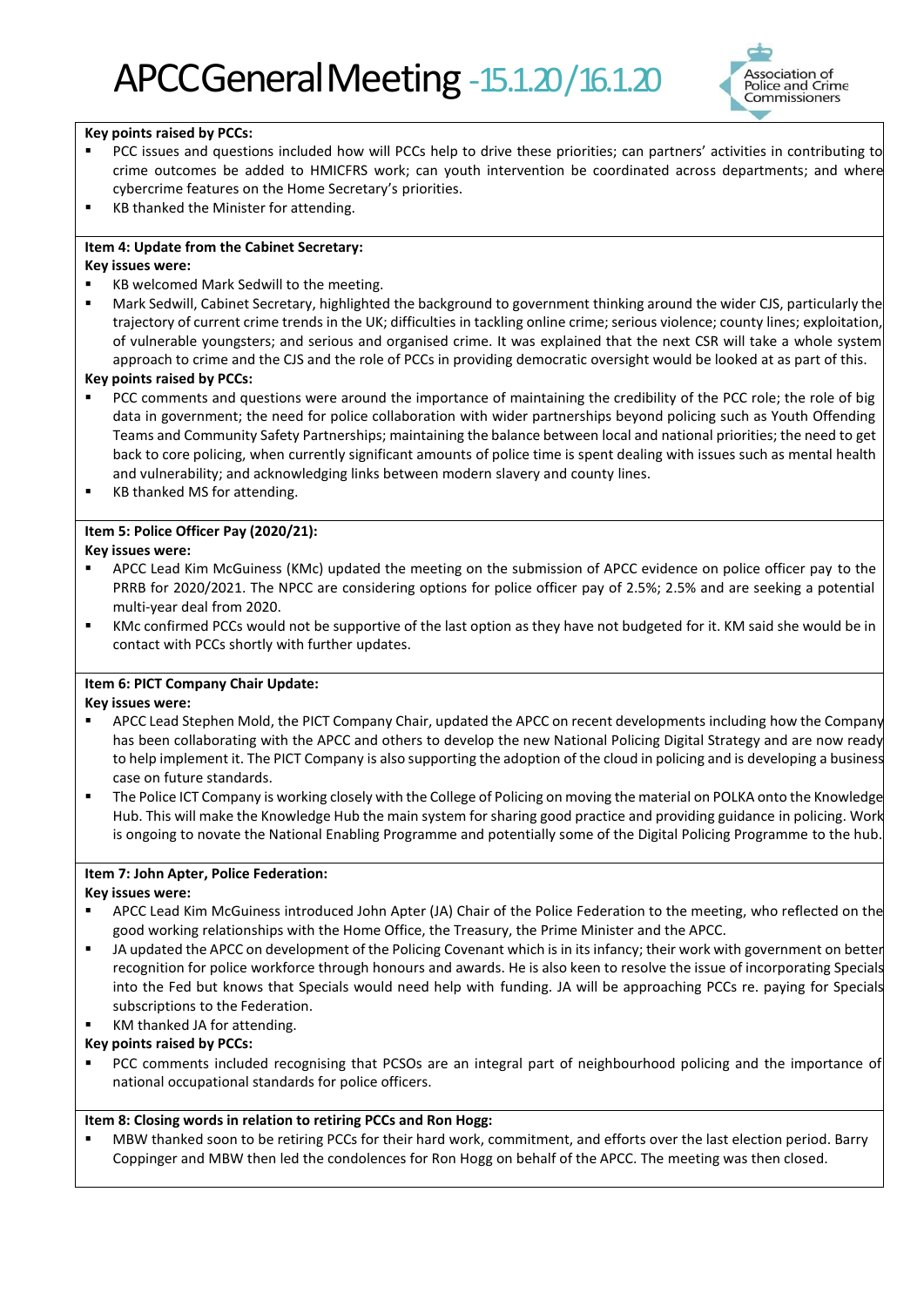

#### **Key points raised by PCCs:**

- PCC issues and questions included how will PCCs help to drive these priorities; can partners' activities in contributing to crime outcomes be added to HMICFRS work; can youth intervention be coordinated across departments; and where cybercrime features on the Home Secretary's priorities.
- KB thanked the Minister for attending.

# **Item 4: Update from the Cabinet Secretary:**

#### **Key issues were:**

KB welcomed Mark Sedwill to the meeting.

Mark Sedwill, Cabinet Secretary, highlighted the background to government thinking around the wider CJS, particularly the trajectory of current crime trends in the UK; difficulties in tackling online crime; serious violence; county lines; exploitation, of vulnerable youngsters; and serious and organised crime. It was explained that the next CSR will take a whole system approach to crime and the CJS and the role of PCCs in providing democratic oversight would be looked at as part of this.

#### **Key points raised by PCCs:**

- PCC comments and questions were around the importance of maintaining the credibility of the PCC role; the role of big data in government; the need for police collaboration with wider partnerships beyond policing such as Youth Offending Teams and Community Safety Partnerships; maintaining the balance between local and national priorities; the need to get back to core policing, when currently significant amounts of police time is spent dealing with issues such as mental health and vulnerability; and acknowledging links between modern slavery and county lines.
- KB thanked MS for attending.

#### **Item 5: Police Officer Pay (2020/21):**

#### **Key issues were:**

- APCC Lead Kim McGuiness (KMc) updated the meeting on the submission of APCC evidence on police officer pay to the PRRB for 2020/2021. The NPCC are considering options for police officer pay of 2.5%; 2.5% and are seeking a potential multi-year deal from 2020.
- KMc confirmed PCCs would not be supportive of the last option as they have not budgeted for it. KM said she would be in contact with PCCs shortly with further updates.

#### **Item 6: PICT Company Chair Update:**

#### **Key issues were:**

- APCC Lead Stephen Mold, the PICT Company Chair, updated the APCC on recent developments including how the Company has been collaborating with the APCC and others to develop the new National Policing Digital Strategy and are now ready to help implement it. The PICT Company is also supporting the adoption of the cloud in policing and is developing a business case on future standards.
- The Police ICT Company is working closely with the College of Policing on moving the material on POLKA onto the Knowledge Hub. This will make the Knowledge Hub the main system for sharing good practice and providing guidance in policing. Work is ongoing to novate the National Enabling Programme and potentially some of the Digital Policing Programme to the hub.

#### **Item 7: John Apter, Police Federation:**

#### **Key issues were:**

- APCC Lead Kim McGuiness introduced John Apter (JA) Chair of the Police Federation to the meeting, who reflected on the good working relationships with the Home Office, the Treasury, the Prime Minister and the APCC.
- JA updated the APCC on development of the Policing Covenant which is in its infancy; their work with government on better recognition for police workforce through honours and awards. He is also keen to resolve the issue of incorporating Specials into the Fed but knows that Specials would need help with funding. JA will be approaching PCCs re. paying for Specials subscriptions to the Federation.
- KM thanked JA for attending.

#### **Key points raised by PCCs:**

PCC comments included recognising that PCSOs are an integral part of neighbourhood policing and the importance of national occupational standards for police officers.

#### **Item 8: Closing words in relation to retiring PCCs and Ron Hogg:**

MBW thanked soon to be retiring PCCs for their hard work, commitment, and efforts over the last election period. Barry Coppinger and MBW then led the condolences for Ron Hogg on behalf of the APCC. The meeting was then closed.